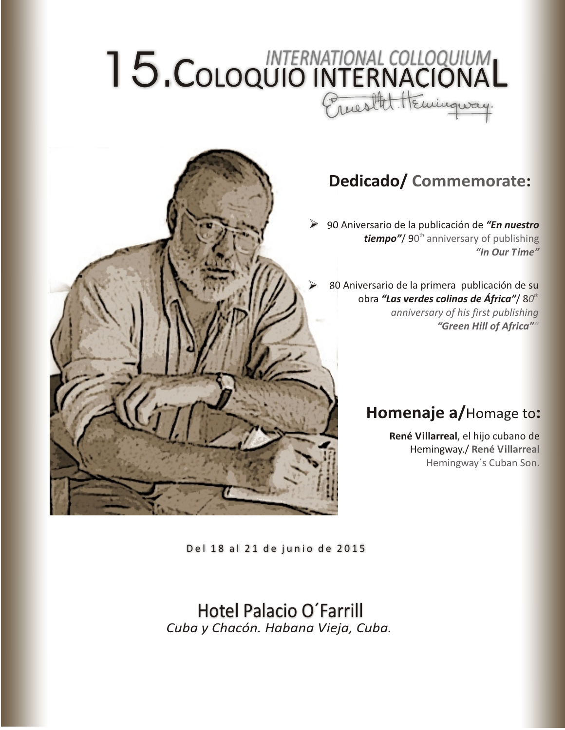# 15.COLOQUIO INTERNACIONAL *INTERNATIONAL COLLOQUIUM*



## **Dedicado/ Commemorate:**

90 Aniversario de la publicación de *"En nuestro*  **tiempo"/** 90<sup>th</sup> anniversary of publishing *"In Our Time"*

80 Aniversario de la primera publicación de su obra "Las verdes colinas de África"/80<sup>th</sup> *anniversary of his first publishing "Green Hill of Africa""*

# **Homenaje a/**Homage to**:**

**René Villarreal**, el hijo cubano de Hemingway./ **René Villarreal** Hemingway´s Cuban Son.

Del 18 al 21 de junio de 2015

Hotel Palacio O´Farrill *Cuba y Chacón. Habana Vieja, Cuba.*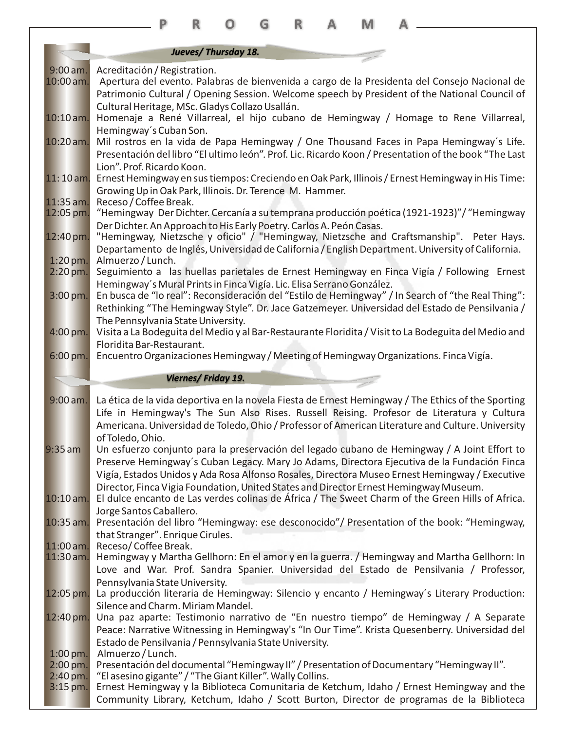|                                      |                                                                                                                                                        | R                         |                     | G | R | M |                                                                                                       |  |
|--------------------------------------|--------------------------------------------------------------------------------------------------------------------------------------------------------|---------------------------|---------------------|---|---|---|-------------------------------------------------------------------------------------------------------|--|
|                                      |                                                                                                                                                        |                           |                     |   |   |   |                                                                                                       |  |
|                                      |                                                                                                                                                        |                           | Jueves/Thursday 18. |   |   |   |                                                                                                       |  |
| $9:00$ am.                           | Acreditación / Registration.                                                                                                                           |                           |                     |   |   |   |                                                                                                       |  |
| 10:00 am.                            |                                                                                                                                                        |                           |                     |   |   |   | Apertura del evento. Palabras de bienvenida a cargo de la Presidenta del Consejo Nacional de          |  |
|                                      | Cultural Heritage, MSc. Gladys Collazo Usallán.                                                                                                        |                           |                     |   |   |   | Patrimonio Cultural / Opening Session. Welcome speech by President of the National Council of         |  |
| $10:10$ am.                          | Homenaje a René Villarreal, el hijo cubano de Hemingway / Homage to Rene Villarreal,                                                                   |                           |                     |   |   |   |                                                                                                       |  |
|                                      | Hemingway's Cuban Son.                                                                                                                                 |                           |                     |   |   |   |                                                                                                       |  |
| 10:20 am.                            | Mil rostros en la vida de Papa Hemingway / One Thousand Faces in Papa Hemingway's Life.                                                                |                           |                     |   |   |   |                                                                                                       |  |
|                                      |                                                                                                                                                        |                           |                     |   |   |   | Presentación del libro "El ultimo león". Prof. Lic. Ricardo Koon / Presentation of the book "The Last |  |
|                                      | Lion". Prof. Ricardo Koon.                                                                                                                             |                           |                     |   |   |   |                                                                                                       |  |
| $11:10$ am.                          | Ernest Hemingway en sus tiempos: Creciendo en Oak Park, Illinois / Ernest Hemingway in His Time:                                                       |                           |                     |   |   |   |                                                                                                       |  |
| $11:35$ am.                          | Growing Up in Oak Park, Illinois. Dr. Terence M. Hammer.<br>Receso / Coffee Break.                                                                     |                           |                     |   |   |   |                                                                                                       |  |
| 12:05 pm.                            |                                                                                                                                                        |                           |                     |   |   |   | "Hemingway Der Dichter. Cercanía a su temprana producción poética (1921-1923)"/ "Hemingway            |  |
|                                      | Der Dichter. An Approach to His Early Poetry. Carlos A. Peón Casas.                                                                                    |                           |                     |   |   |   |                                                                                                       |  |
| 12:40 pm.                            |                                                                                                                                                        |                           |                     |   |   |   | "Hemingway, Nietzsche y oficio" / "Hemingway, Nietzsche and Craftsmanship". Peter Hays.               |  |
| $1:20$ pm.                           | Almuerzo / Lunch.                                                                                                                                      |                           |                     |   |   |   | Departamento de Inglés, Universidad de California / English Department. University of California.     |  |
| $2:20 \,\mathrm{pm}.$                | Seguimiento a las huellas parietales de Ernest Hemingway en Finca Vigía / Following Ernest                                                             |                           |                     |   |   |   |                                                                                                       |  |
|                                      | Hemingway's Mural Prints in Finca Vigía. Lic. Elisa Serrano González.                                                                                  |                           |                     |   |   |   |                                                                                                       |  |
| 3:00 pm.                             | En busca de "lo real": Reconsideración del "Estilo de Hemingway" / In Search of "the Real Thing":                                                      |                           |                     |   |   |   |                                                                                                       |  |
|                                      |                                                                                                                                                        |                           |                     |   |   |   | Rethinking "The Hemingway Style". Dr. Jace Gatzemeyer. Universidad del Estado de Pensilvania /        |  |
| 4:00 pm.                             | The Pennsylvania State University.<br>Visita a La Bodeguita del Medio y al Bar-Restaurante Floridita / Visit to La Bodeguita del Medio and             |                           |                     |   |   |   |                                                                                                       |  |
|                                      | Floridita Bar-Restaurant.                                                                                                                              |                           |                     |   |   |   |                                                                                                       |  |
| $6:00 \,\mathrm{pm}$ .               | Encuentro Organizaciones Hemingway / Meeting of Hemingway Organizations. Finca Vigía.                                                                  |                           |                     |   |   |   |                                                                                                       |  |
|                                      |                                                                                                                                                        |                           |                     |   |   |   |                                                                                                       |  |
|                                      |                                                                                                                                                        |                           |                     |   |   |   |                                                                                                       |  |
|                                      |                                                                                                                                                        | <b>Viernes/Friday 19.</b> |                     |   |   |   |                                                                                                       |  |
| $9:00$ am.                           | La ética de la vida deportiva en la novela Fiesta de Ernest Hemingway / The Ethics of the Sporting                                                     |                           |                     |   |   |   |                                                                                                       |  |
|                                      | Life in Hemingway's The Sun Also Rises. Russell Reising. Profesor de Literatura y Cultura                                                              |                           |                     |   |   |   |                                                                                                       |  |
|                                      | Americana. Universidad de Toledo, Ohio / Professor of American Literature and Culture. University                                                      |                           |                     |   |   |   |                                                                                                       |  |
|                                      | of Toledo, Ohio.                                                                                                                                       |                           |                     |   |   |   |                                                                                                       |  |
| $9:35$ am                            | Un esfuerzo conjunto para la preservación del legado cubano de Hemingway / A Joint Effort to                                                           |                           |                     |   |   |   |                                                                                                       |  |
|                                      | Preserve Hemingway's Cuban Legacy. Mary Jo Adams, Directora Ejecutiva de la Fundación Finca                                                            |                           |                     |   |   |   |                                                                                                       |  |
|                                      | Vigía, Estados Unidos y Ada Rosa Alfonso Rosales, Directora Museo Ernest Hemingway / Executive                                                         |                           |                     |   |   |   | Director, Finca Vigia Foundation, United States and Director Ernest Hemingway Museum.                 |  |
| $10:10$ am.                          | El dulce encanto de Las verdes colinas de África / The Sweet Charm of the Green Hills of Africa.                                                       |                           |                     |   |   |   |                                                                                                       |  |
|                                      | Jorge Santos Caballero.                                                                                                                                |                           |                     |   |   |   |                                                                                                       |  |
| 10:35 am.                            | Presentación del libro "Hemingway: ese desconocido"/ Presentation of the book: "Hemingway,                                                             |                           |                     |   |   |   |                                                                                                       |  |
|                                      | that Stranger". Enrique Cirules.                                                                                                                       |                           |                     |   |   |   |                                                                                                       |  |
| 11:00 am.<br>11:30 am.               | Receso/Coffee Break.<br>Hemingway y Martha Gellhorn: En el amor y en la guerra. / Hemingway and Martha Gellhorn: In                                    |                           |                     |   |   |   |                                                                                                       |  |
|                                      | Love and War. Prof. Sandra Spanier. Universidad del Estado de Pensilvania / Professor,                                                                 |                           |                     |   |   |   |                                                                                                       |  |
|                                      | Pennsylvania State University.                                                                                                                         |                           |                     |   |   |   |                                                                                                       |  |
| 12:05 pm.                            | La producción literaria de Hemingway: Silencio y encanto / Hemingway's Literary Production:                                                            |                           |                     |   |   |   |                                                                                                       |  |
|                                      | Silence and Charm. Miriam Mandel.                                                                                                                      |                           |                     |   |   |   |                                                                                                       |  |
| 12:40 pm.                            | Una paz aparte: Testimonio narrativo de "En nuestro tiempo" de Hemingway / A Separate                                                                  |                           |                     |   |   |   | Peace: Narrative Witnessing in Hemingway's "In Our Time". Krista Quesenberry. Universidad del         |  |
|                                      | Estado de Pensilvania / Pennsylvania State University.                                                                                                 |                           |                     |   |   |   |                                                                                                       |  |
| $1:00$ pm.                           | Almuerzo / Lunch.                                                                                                                                      |                           |                     |   |   |   |                                                                                                       |  |
| $2:00$ pm.                           | Presentación del documental "Hemingway II" / Presentation of Documentary "Hemingway II".                                                               |                           |                     |   |   |   |                                                                                                       |  |
| $2:40 \,\mathrm{pm}$ .<br>$3:15$ pm. | "El asesino gigante" / "The Giant Killer". Wally Collins.<br>Ernest Hemingway y la Biblioteca Comunitaria de Ketchum, Idaho / Ernest Hemingway and the |                           |                     |   |   |   |                                                                                                       |  |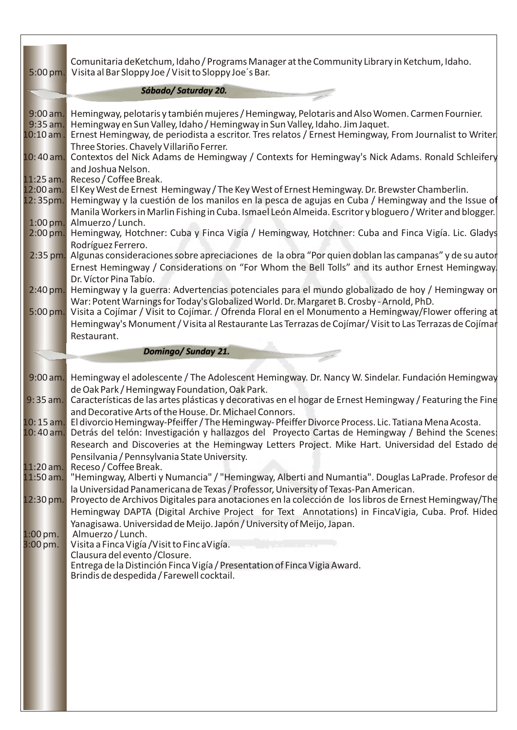| 5:00 pm.                              | Comunitaria deKetchum, Idaho / Programs Manager at the Community Library in Ketchum, Idaho.<br>Visita al Bar Sloppy Joe / Visit to Sloppy Joe's Bar.                                                                                                                                                                                                                                                                           |
|---------------------------------------|--------------------------------------------------------------------------------------------------------------------------------------------------------------------------------------------------------------------------------------------------------------------------------------------------------------------------------------------------------------------------------------------------------------------------------|
|                                       | Sábado/ Saturday 20.                                                                                                                                                                                                                                                                                                                                                                                                           |
| $9:00$ am.<br>9:35 am.<br>$10:10$ am. | Hemingway, pelotaris y también mujeres / Hemingway, Pelotaris and Also Women. Carmen Fournier.<br>Hemingway en Sun Valley, Idaho / Hemingway in Sun Valley, Idaho. Jim Jaquet.<br>Ernest Hemingway, de periodista a escritor. Tres relatos / Ernest Hemingway, From Journalist to Writer.<br>Three Stories. Chavely Villariño Ferrer.                                                                                          |
| $10:40$ am.                           | Contextos del Nick Adams de Hemingway / Contexts for Hemingway's Nick Adams. Ronald Schleifery<br>and Joshua Nelson.                                                                                                                                                                                                                                                                                                           |
| $11:25$ am.<br>12:00 am.<br>12:35pm.  | Receso / Coffee Break.<br>El Key West de Ernest Hemingway / The Key West of Ernest Hemingway. Dr. Brewster Chamberlin.<br>Hemingway y la cuestión de los manilos en la pesca de agujas en Cuba / Hemingway and the Issue of<br>Manila Workers in Marlin Fishing in Cuba. Ismael León Almeida. Escritor y bloguero / Writer and blogger.                                                                                        |
| 1:00 pm.<br>$2:00$ pm.                | Almuerzo / Lunch.<br>Hemingway, Hotchner: Cuba y Finca Vigía / Hemingway, Hotchner: Cuba and Finca Vigía. Lic. Gladys<br>Rodríguez Ferrero.                                                                                                                                                                                                                                                                                    |
| 2:35 pm.                              | Algunas consideraciones sobre apreciaciones de la obra "Por quien doblan las campanas" y de su autor<br>Ernest Hemingway / Considerations on "For Whom the Bell Tolls" and its author Ernest Hemingway.<br>Dr. Víctor Pina Tabío.                                                                                                                                                                                              |
| $2:40$ pm.                            | Hemingway y la guerra: Advertencias potenciales para el mundo globalizado de hoy / Hemingway on<br>War: Potent Warnings for Today's Globalized World. Dr. Margaret B. Crosby - Arnold, PhD.                                                                                                                                                                                                                                    |
| 5:00 pm.                              | Visita a Cojímar / Visit to Cojímar. / Ofrenda Floral en el Monumento a Hemingway/Flower offering at<br>Hemingway's Monument / Visita al Restaurante Las Terrazas de Cojímar/ Visit to Las Terrazas de Cojímar<br>Restaurant.                                                                                                                                                                                                  |
|                                       | Domingo/Sunday 21.                                                                                                                                                                                                                                                                                                                                                                                                             |
|                                       |                                                                                                                                                                                                                                                                                                                                                                                                                                |
|                                       |                                                                                                                                                                                                                                                                                                                                                                                                                                |
| $9:35$ am.                            | 9:00 am. Hemingway el adolescente / The Adolescent Hemingway. Dr. Nancy W. Sindelar. Fundación Hemingway<br>de Oak Park / Hemingway Foundation, Oak Park.<br>Características de las artes plásticas y decorativas en el hogar de Ernest Hemingway / Featuring the Fine                                                                                                                                                         |
| $10:15$ am.                           | and Decorative Arts of the House. Dr. Michael Connors.<br>El divorcio Hemingway-Pfeiffer / The Hemingway-Pfeiffer Divorce Process. Lic. Tatiana Mena Acosta.<br>10:40 am. Detrás del telón: Investigación y hallazgos del Proyecto Cartas de Hemingway / Behind the Scenes:<br>Research and Discoveries at the Hemingway Letters Project. Mike Hart. Universidad del Estado de<br>Pensilvania / Pennsylvania State University. |
| $11:20$ am.<br>$11:50$ am.            | Receso / Coffee Break.<br>"Hemingway, Alberti y Numancia" / "Hemingway, Alberti and Numantia". Douglas LaPrade. Profesor de                                                                                                                                                                                                                                                                                                    |
| 12:30 pm.                             | la Universidad Panamericana de Texas / Professor, University of Texas-Pan American.<br>Proyecto de Archivos Digitales para anotaciones en la colección de los libros de Ernest Hemingway/The<br>Hemingway DAPTA (Digital Archive Project for Text Annotations) in FincaVigia, Cuba. Prof. Hideo<br>Yanagisawa. Universidad de Meijo. Japón / University of Meijo, Japan.                                                       |
| $1:00$ pm.<br>$3:00$ pm.              | Almuerzo / Lunch.<br>Visita a Finca Vigía / Visit to Finc a Vigía.<br>Clausura del evento / Closure.<br>Entrega de la Distinción Finca Vigía / Presentation of Finca Vigia Award.<br>Brindis de despedida / Farewell cocktail.                                                                                                                                                                                                 |
|                                       |                                                                                                                                                                                                                                                                                                                                                                                                                                |
|                                       |                                                                                                                                                                                                                                                                                                                                                                                                                                |
|                                       |                                                                                                                                                                                                                                                                                                                                                                                                                                |
|                                       |                                                                                                                                                                                                                                                                                                                                                                                                                                |